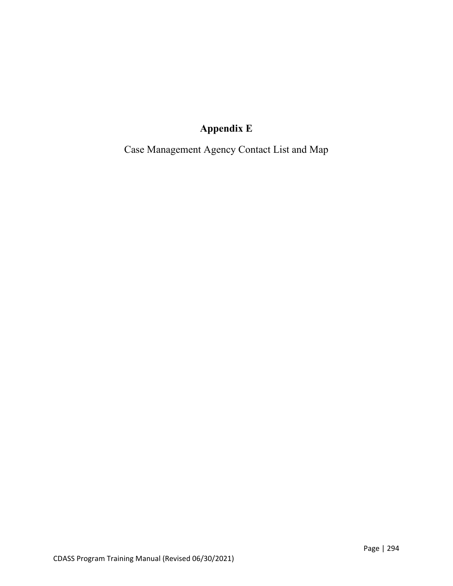## **Appendix E**

Case Management Agency Contact List and Map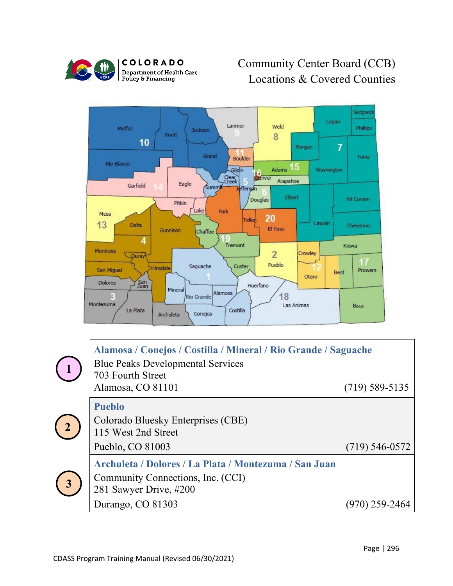

COLORADO **Department of Health Care<br>Policy & Financing** 

## Community Center Board (CCB) Locations & Covered Counties



|                         | Alamosa / Conejos / Costilla / Mineral / Rio Grande / Saguache<br><b>Blue Peaks Developmental Services</b><br>703 Fourth Street |                  |  |
|-------------------------|---------------------------------------------------------------------------------------------------------------------------------|------------------|--|
|                         | Alamosa, CO 81101                                                                                                               | $(719)$ 589-5135 |  |
| $\binom{2}{}$           | <b>Pueblo</b><br>Colorado Bluesky Enterprises (CBE)<br>115 West 2nd Street                                                      |                  |  |
|                         | Pueblo, CO 81003                                                                                                                | $(719)$ 546-0572 |  |
| $\overline{\mathbf{3}}$ | Archuleta / Dolores / La Plata / Montezuma / San Juan<br>Community Connections, Inc. (CCI)<br>281 Sawyer Drive, #200            |                  |  |
|                         | Durango, CO 81303                                                                                                               | (970) 259-2464   |  |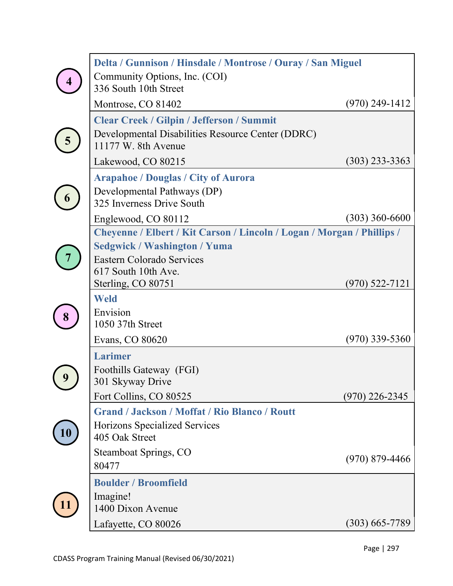| Delta / Gunnison / Hinsdale / Montrose / Ouray / San Miguel<br>Community Options, Inc. (COI)                                                                                            |                  |
|-----------------------------------------------------------------------------------------------------------------------------------------------------------------------------------------|------------------|
| 336 South 10th Street<br>Montrose, CO 81402                                                                                                                                             | $(970)$ 249-1412 |
| <b>Clear Creek / Gilpin / Jefferson / Summit</b><br>Developmental Disabilities Resource Center (DDRC)<br>11177 W. 8th Avenue<br>Lakewood, CO 80215                                      | $(303)$ 233-3363 |
| <b>Arapahoe / Douglas / City of Aurora</b><br>Developmental Pathways (DP)<br>325 Inverness Drive South<br>Englewood, CO 80112                                                           | $(303)$ 360-6600 |
| Cheyenne / Elbert / Kit Carson / Lincoln / Logan / Morgan / Phillips /<br><b>Sedgwick / Washington / Yuma</b><br>Eastern Colorado Services<br>617 South 10th Ave.<br>Sterling, CO 80751 | $(970)$ 522-7121 |
| <b>Weld</b><br>Envision<br>1050 37th Street<br>Evans, CO 80620                                                                                                                          | $(970)$ 339-5360 |
| <b>Larimer</b><br>Foothills Gateway (FGI)<br>301 Skyway Drive<br>Fort Collins, CO 80525                                                                                                 | $(970)$ 226-2345 |
| <b>Grand / Jackson / Moffat / Rio Blanco / Routt</b><br>Horizons Specialized Services<br>405 Oak Street<br><b>Steamboat Springs, CO</b>                                                 | $(970)$ 879-4466 |
| 80477<br><b>Boulder / Broomfield</b><br>Imagine!<br>1400 Dixon Avenue<br>Lafayette, CO 80026                                                                                            | $(303)$ 665-7789 |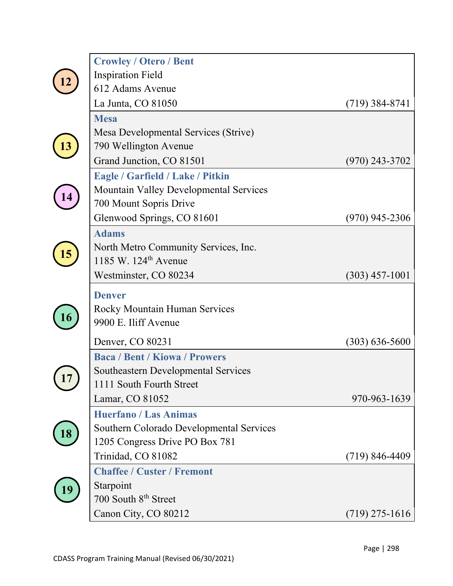|  | <b>Crowley / Otero / Bent</b>              |                    |
|--|--------------------------------------------|--------------------|
|  | <b>Inspiration Field</b>                   |                    |
|  | 612 Adams Avenue                           |                    |
|  | La Junta, CO 81050                         | $(719)$ 384-8741   |
|  | <b>Mesa</b>                                |                    |
|  | Mesa Developmental Services (Strive)       |                    |
|  | 790 Wellington Avenue                      |                    |
|  | Grand Junction, CO 81501                   | $(970)$ 243-3702   |
|  | <b>Eagle / Garfield / Lake / Pitkin</b>    |                    |
|  | Mountain Valley Developmental Services     |                    |
|  | 700 Mount Sopris Drive                     |                    |
|  | Glenwood Springs, CO 81601                 | $(970)$ 945-2306   |
|  | <b>Adams</b>                               |                    |
|  | North Metro Community Services, Inc.       |                    |
|  | 1185 W. 124 <sup>th</sup> Avenue           |                    |
|  | Westminster, CO 80234                      | $(303)$ 457-1001   |
|  | <b>Denver</b>                              |                    |
|  | <b>Rocky Mountain Human Services</b>       |                    |
|  | 9900 E. Iliff Avenue                       |                    |
|  | Denver, CO 80231                           | $(303) 636 - 5600$ |
|  | <b>Baca / Bent / Kiowa / Prowers</b>       |                    |
|  | <b>Southeastern Developmental Services</b> |                    |
|  | 1111 South Fourth Street                   |                    |
|  | Lamar, CO 81052                            | 970-963-1639       |
|  | <b>Huerfano / Las Animas</b>               |                    |
|  | Southern Colorado Developmental Services   |                    |
|  | 1205 Congress Drive PO Box 781             |                    |
|  | Trinidad, CO 81082                         | $(719) 846 - 4409$ |
|  | <b>Chaffee / Custer / Fremont</b>          |                    |
|  |                                            |                    |
|  | Starpoint                                  |                    |
|  | 700 South 8 <sup>th</sup> Street           |                    |